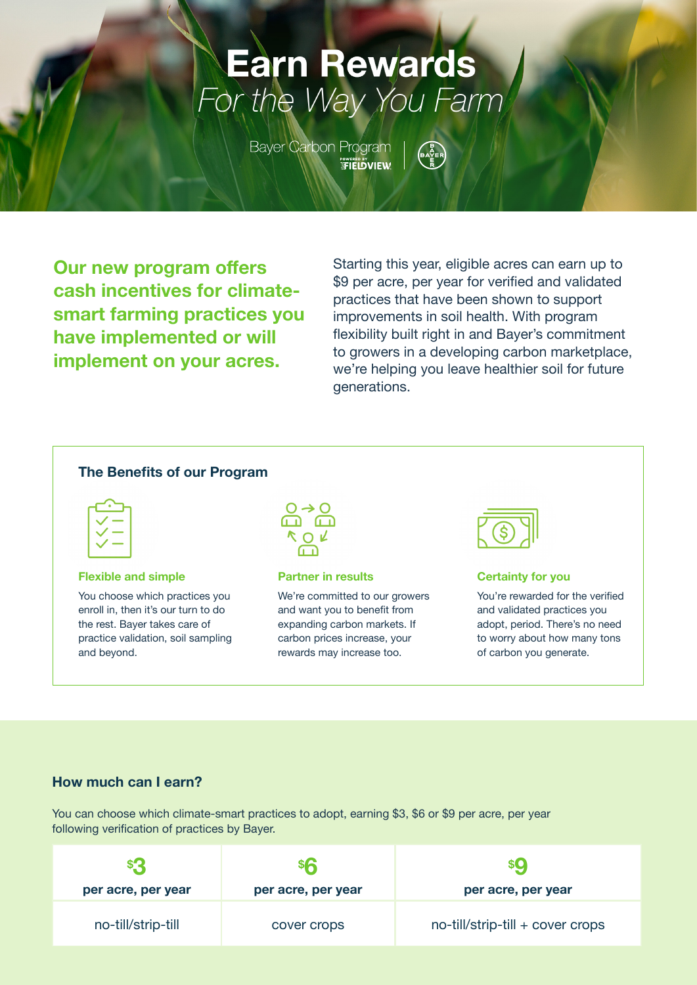# **Earn Rewards** For the Way You Farm

**Bayer Carbon Program** <sub>ऀ</sub><br>ℱℹ℻⅁⅁℣

**Our new program offers cash incentives for climatesmart farming practices you have implemented or will implement on your acres.**

Starting this year, eligible acres can earn up to \$9 per acre, per year for verified and validated practices that have been shown to support improvements in soil health. With program flexibility built right in and Bayer's commitment to growers in a developing carbon marketplace, we're helping you leave healthier soil for future generations.

#### **The Benefits of our Program**



**Flexible and simple**

You choose which practices you enroll in, then it's our turn to do the rest. Bayer takes care of practice validation, soil sampling and beyond.



**Partner in results**

We're committed to our growers and want you to benefit from expanding carbon markets. If carbon prices increase, your rewards may increase too.



#### **Certainty for you**

You're rewarded for the verified and validated practices you adopt, period. There's no need to worry about how many tons of carbon you generate.

#### **How much can I earn?**

You can choose which climate-smart practices to adopt, earning \$3, \$6 or \$9 per acre, per year following verification of practices by Bayer.

| \$3<br>per acre, per year | <b>Shi</b><br>per acre, per year | per acre, per year               |
|---------------------------|----------------------------------|----------------------------------|
| no-till/strip-till        | cover crops                      | no-till/strip-till + cover crops |